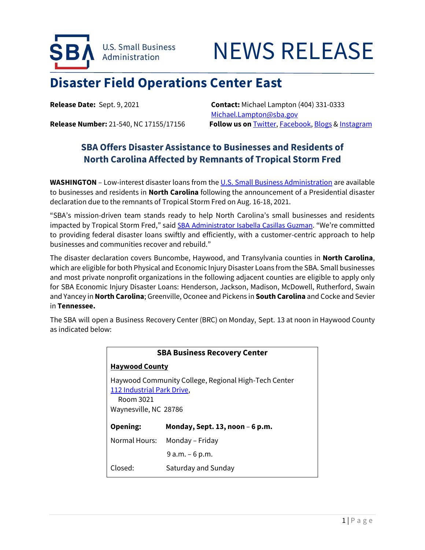

## NEWS RELEASE

## **Disaster Field Operations Center East**

**Release Date:** Sept. 9, 2021 **Contact:** Michael Lampton (404) 331-0333 [Michael.Lampton@sba.gov](mailto:Michael.Lampton@sba.gov) **Release Number:** 21-540, NC 17155/17156 **Follow us on** [Twitter,](http://www.twitter.com/SBAgov) [Facebook,](http://www.facebook.com/sbagov) [Blogs](http://www.sba.gov/blogs) & [Instagram](https://www.instagram.com/sbagov/)

## **SBA Offers Disaster Assistance to Businesses and Residents of North Carolina Affected by Remnants of Tropical Storm Fred**

**WASHINGTON** – Low-interest disaster loans from the [U.S. Small Business Administration](https://www.sba.gov/) are available to businesses and residents in **North Carolina** following the announcement of a Presidential disaster declaration due to the remnants of Tropical Storm Fred on Aug. 16-18, 2021.

"SBA's mission-driven team stands ready to help North Carolina's small businesses and residents impacted by Tropical Storm Fred," said SBA [Administrator Isabella Casillas Guzman](https://www.sba.gov/person/isabella-casillas-guzman). "We're committed to providing federal disaster loans swiftly and efficiently, with a customer-centric approach to help businesses and communities recover and rebuild."

The disaster declaration covers Buncombe, Haywood, and Transylvania counties in **North Carolina**, which are eligible for both Physical and Economic Injury Disaster Loans from the SBA. Small businesses and most private nonprofit organizations in the following adjacent counties are eligible to apply only for SBA Economic Injury Disaster Loans: Henderson, Jackson, Madison, McDowell, Rutherford, Swain and Yancey in **North Carolina**; Greenville, Oconee and Pickens in **South Carolina** and Cocke and Sevier in **Tennessee.**

The SBA will open a Business Recovery Center (BRC) on Monday, Sept. 13 at noon in Haywood County as indicated below:

| <b>SBA Business Recovery Center</b>                                                                                      |                                     |
|--------------------------------------------------------------------------------------------------------------------------|-------------------------------------|
| <b>Haywood County</b>                                                                                                    |                                     |
| Haywood Community College, Regional High-Tech Center<br>112 Industrial Park Drive,<br>Room 3021<br>Waynesville, NC 28786 |                                     |
| Opening:                                                                                                                 | Monday, Sept. $13$ , noon $-6$ p.m. |
| Normal Hours:                                                                                                            | Monday – Friday                     |
|                                                                                                                          | $9a.m. - 6p.m.$                     |
| Closed:                                                                                                                  | Saturday and Sunday                 |